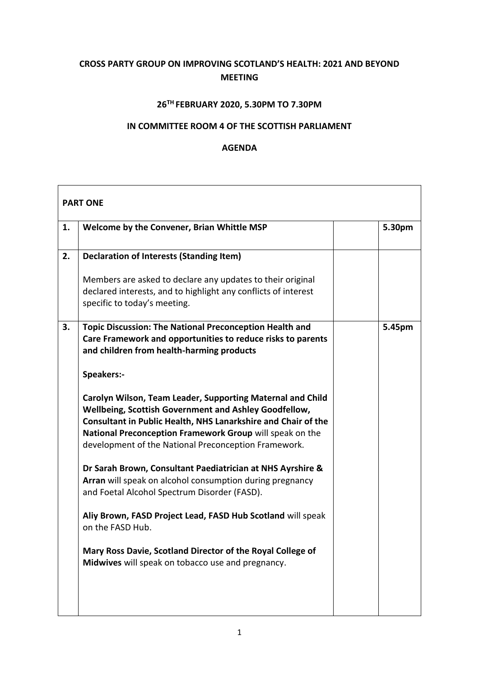## **CROSS PARTY GROUP ON IMPROVING SCOTLAND'S HEALTH: 2021 AND BEYOND MEETING**

## **26TH FEBRUARY 2020, 5.30PM TO 7.30PM**

## **IN COMMITTEE ROOM 4 OF THE SCOTTISH PARLIAMENT**

## **AGENDA**

| <b>PART ONE</b> |                                                                                                                                                                                                                                                                                                          |  |        |  |
|-----------------|----------------------------------------------------------------------------------------------------------------------------------------------------------------------------------------------------------------------------------------------------------------------------------------------------------|--|--------|--|
| 1.              | Welcome by the Convener, Brian Whittle MSP                                                                                                                                                                                                                                                               |  | 5.30pm |  |
| 2.              | <b>Declaration of Interests (Standing Item)</b>                                                                                                                                                                                                                                                          |  |        |  |
|                 | Members are asked to declare any updates to their original<br>declared interests, and to highlight any conflicts of interest<br>specific to today's meeting.                                                                                                                                             |  |        |  |
| 3.              | <b>Topic Discussion: The National Preconception Health and</b><br>Care Framework and opportunities to reduce risks to parents<br>and children from health-harming products                                                                                                                               |  | 5.45pm |  |
|                 | Speakers:-                                                                                                                                                                                                                                                                                               |  |        |  |
|                 | Carolyn Wilson, Team Leader, Supporting Maternal and Child<br>Wellbeing, Scottish Government and Ashley Goodfellow,<br>Consultant in Public Health, NHS Lanarkshire and Chair of the<br>National Preconception Framework Group will speak on the<br>development of the National Preconception Framework. |  |        |  |
|                 | Dr Sarah Brown, Consultant Paediatrician at NHS Ayrshire &<br>Arran will speak on alcohol consumption during pregnancy<br>and Foetal Alcohol Spectrum Disorder (FASD).                                                                                                                                   |  |        |  |
|                 | Aliy Brown, FASD Project Lead, FASD Hub Scotland will speak<br>on the FASD Hub.                                                                                                                                                                                                                          |  |        |  |
|                 | Mary Ross Davie, Scotland Director of the Royal College of<br>Midwives will speak on tobacco use and pregnancy.                                                                                                                                                                                          |  |        |  |
|                 |                                                                                                                                                                                                                                                                                                          |  |        |  |